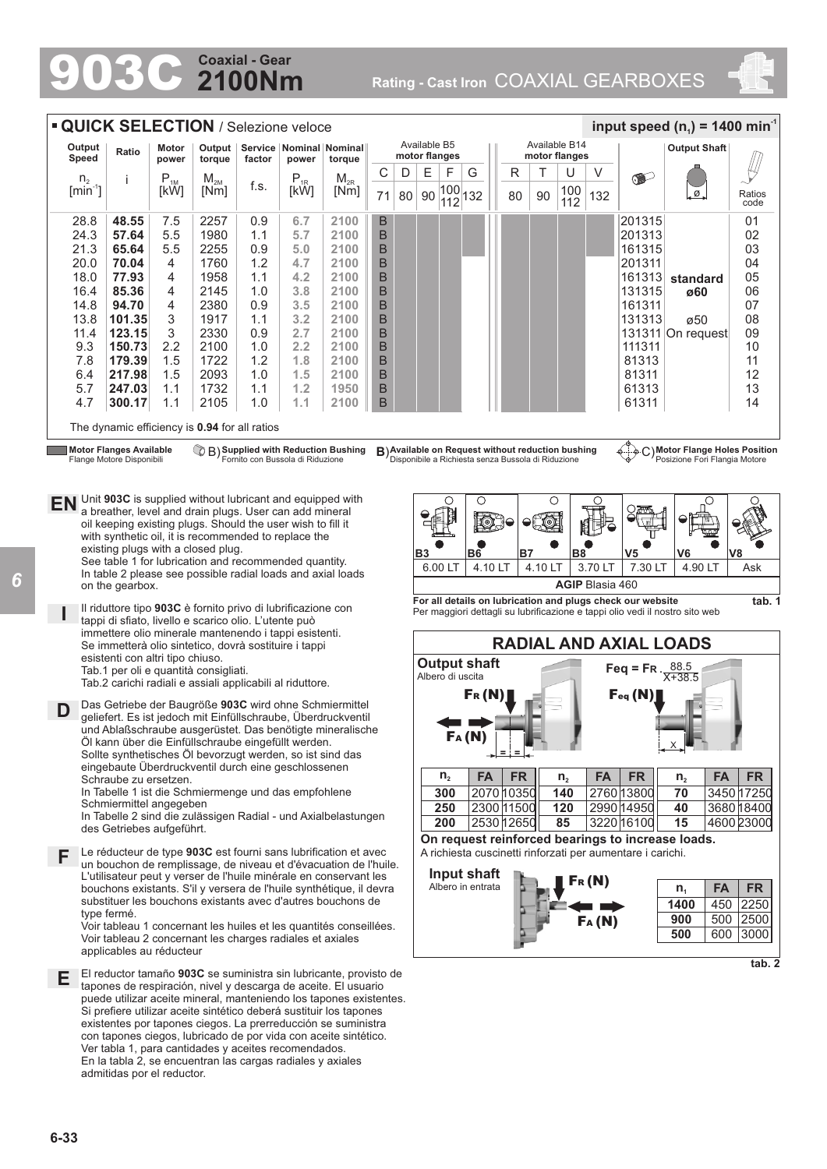# **2100Nm Coaxial - Gear**

903C **Rating - Cast Iron** COAXIAL GEARBOXES





*6*